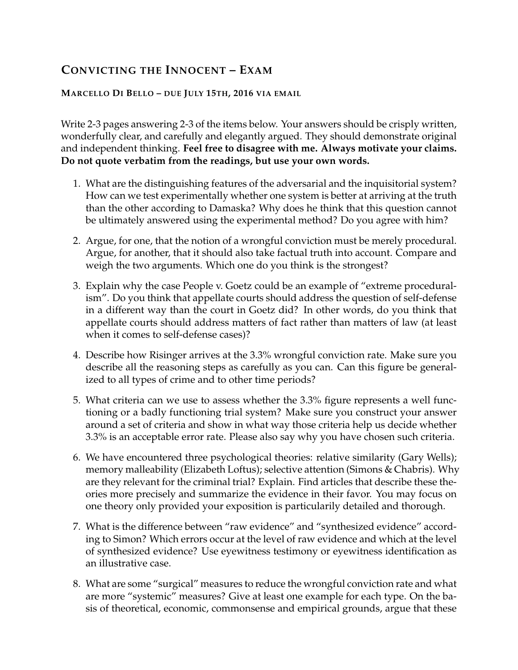## **CONVICTING THE INNOCENT – EXAM**

## **MARCELLO DI BELLO – DUE JULY 15TH, 2016 VIA EMAIL**

Write 2-3 pages answering 2-3 of the items below. Your answers should be crisply written, wonderfully clear, and carefully and elegantly argued. They should demonstrate original and independent thinking. **Feel free to disagree with me. Always motivate your claims. Do not quote verbatim from the readings, but use your own words.**

- 1. What are the distinguishing features of the adversarial and the inquisitorial system? How can we test experimentally whether one system is better at arriving at the truth than the other according to Damaska? Why does he think that this question cannot be ultimately answered using the experimental method? Do you agree with him?
- 2. Argue, for one, that the notion of a wrongful conviction must be merely procedural. Argue, for another, that it should also take factual truth into account. Compare and weigh the two arguments. Which one do you think is the strongest?
- 3. Explain why the case People v. Goetz could be an example of "extreme proceduralism". Do you think that appellate courts should address the question of self-defense in a different way than the court in Goetz did? In other words, do you think that appellate courts should address matters of fact rather than matters of law (at least when it comes to self-defense cases)?
- 4. Describe how Risinger arrives at the 3.3% wrongful conviction rate. Make sure you describe all the reasoning steps as carefully as you can. Can this figure be generalized to all types of crime and to other time periods?
- 5. What criteria can we use to assess whether the 3.3% figure represents a well functioning or a badly functioning trial system? Make sure you construct your answer around a set of criteria and show in what way those criteria help us decide whether 3.3% is an acceptable error rate. Please also say why you have chosen such criteria.
- 6. We have encountered three psychological theories: relative similarity (Gary Wells); memory malleability (Elizabeth Loftus); selective attention (Simons & Chabris). Why are they relevant for the criminal trial? Explain. Find articles that describe these theories more precisely and summarize the evidence in their favor. You may focus on one theory only provided your exposition is particularily detailed and thorough.
- 7. What is the difference between "raw evidence" and "synthesized evidence" according to Simon? Which errors occur at the level of raw evidence and which at the level of synthesized evidence? Use eyewitness testimony or eyewitness identification as an illustrative case.
- 8. What are some "surgical" measures to reduce the wrongful conviction rate and what are more "systemic" measures? Give at least one example for each type. On the basis of theoretical, economic, commonsense and empirical grounds, argue that these